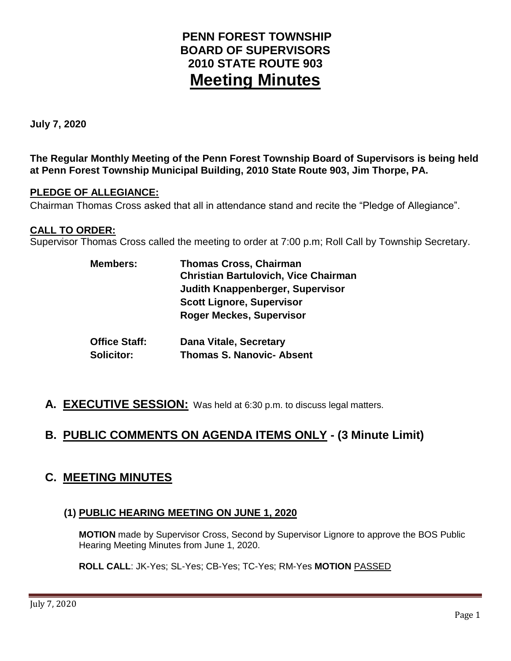# **PENN FOREST TOWNSHIP BOARD OF SUPERVISORS 2010 STATE ROUTE 903 Meeting Minutes**

**July 7, 2020**

**The Regular Monthly Meeting of the Penn Forest Township Board of Supervisors is being held at Penn Forest Township Municipal Building, 2010 State Route 903, Jim Thorpe, PA.** 

### **PLEDGE OF ALLEGIANCE:**

Chairman Thomas Cross asked that all in attendance stand and recite the "Pledge of Allegiance".

### **CALL TO ORDER:**

Supervisor Thomas Cross called the meeting to order at 7:00 p.m; Roll Call by Township Secretary.

| <b>Members:</b>      | <b>Thomas Cross, Chairman</b><br><b>Christian Bartulovich, Vice Chairman</b> |  |  |
|----------------------|------------------------------------------------------------------------------|--|--|
|                      | <b>Judith Knappenberger, Supervisor</b>                                      |  |  |
|                      | <b>Scott Lignore, Supervisor</b>                                             |  |  |
|                      | <b>Roger Meckes, Supervisor</b>                                              |  |  |
| <b>Office Staff:</b> | <b>Dana Vitale, Secretary</b>                                                |  |  |
| <b>Solicitor:</b>    | <b>Thomas S. Nanovic- Absent</b>                                             |  |  |

**A. EXECUTIVE SESSION:** Was held at 6:30 p.m. to discuss legal matters.

# **B. PUBLIC COMMENTS ON AGENDA ITEMS ONLY - (3 Minute Limit)**

## **C. MEETING MINUTES**

## **(1) PUBLIC HEARING MEETING ON JUNE 1, 2020**

**MOTION** made by Supervisor Cross, Second by Supervisor Lignore to approve the BOS Public Hearing Meeting Minutes from June 1, 2020.

**ROLL CALL**: JK-Yes; SL-Yes; CB-Yes; TC-Yes; RM-Yes **MOTION** PASSED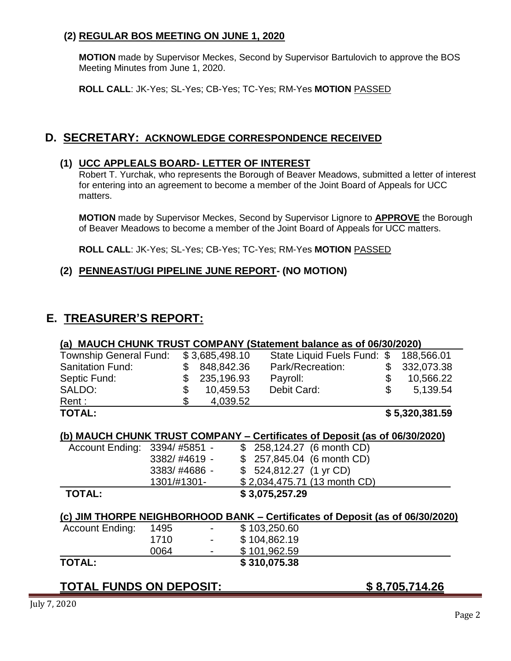## **(2) REGULAR BOS MEETING ON JUNE 1, 2020**

**MOTION** made by Supervisor Meckes, Second by Supervisor Bartulovich to approve the BOS Meeting Minutes from June 1, 2020.

**ROLL CALL**: JK-Yes; SL-Yes; CB-Yes; TC-Yes; RM-Yes **MOTION** PASSED

## **D. SECRETARY: ACKNOWLEDGE CORRESPONDENCE RECEIVED**

#### **(1) UCC APPLEALS BOARD- LETTER OF INTEREST**

Robert T. Yurchak, who represents the Borough of Beaver Meadows, submitted a letter of interest for entering into an agreement to become a member of the Joint Board of Appeals for UCC matters.

**MOTION** made by Supervisor Meckes, Second by Supervisor Lignore to **APPROVE** the Borough of Beaver Meadows to become a member of the Joint Board of Appeals for UCC matters.

**ROLL CALL**: JK-Yes; SL-Yes; CB-Yes; TC-Yes; RM-Yes **MOTION** PASSED

## **(2) PENNEAST/UGI PIPELINE JUNE REPORT- (NO MOTION)**

## **E. TREASURER'S REPORT:**

#### **(a) MAUCH CHUNK TRUST COMPANY (Statement balance as of 06/30/2020)** \_\_\_\_\_\_\_

| <b>TOTAL:</b>                 |                |                             |    | \$5,320,381.59 |
|-------------------------------|----------------|-----------------------------|----|----------------|
| Rent :                        | 4,039.52       |                             |    |                |
| SALDO:                        | 10,459.53      | Debit Card:                 | S. | 5,139.54       |
| Septic Fund:                  | 235,196.93     | Payroll:                    |    | 10,566.22      |
| <b>Sanitation Fund:</b>       | 848,842.36     | Park/Recreation:            |    | 332,073.38     |
| <b>Township General Fund:</b> | \$3,685,498.10 | State Liquid Fuels Fund: \$ |    | 188,566.01     |

#### **(b) MAUCH CHUNK TRUST COMPANY – Certificates of Deposit (as of 06/30/2020)**

| Account Ending: 3394/#5851 - |              | $$258,124.27$ (6 month CD)   |
|------------------------------|--------------|------------------------------|
|                              | 3382/#4619 - | $$257,845.04$ (6 month CD)   |
|                              | 3383/#4686 - | $$524,812.27$ (1 yr CD)      |
|                              | 1301/#1301-  | \$2,034,475.71 (13 month CD) |
| <b>TOTAL:</b>                |              | \$3,075,257.29               |

## **(c) JIM THORPE NEIGHBORHOOD BANK – Certificates of Deposit (as of 06/30/2020)**

| <b>TOTAL:</b>          |      |                          | \$310,075.38 |
|------------------------|------|--------------------------|--------------|
|                        | 0064 | $\overline{\phantom{0}}$ | \$101,962.59 |
|                        | 1710 | $\blacksquare$           | \$104,862.19 |
| <b>Account Ending:</b> | 1495 | $\overline{\phantom{0}}$ | \$103,250.60 |

## **TOTAL FUNDS ON DEPOSIT: \$ 8,705,714.26**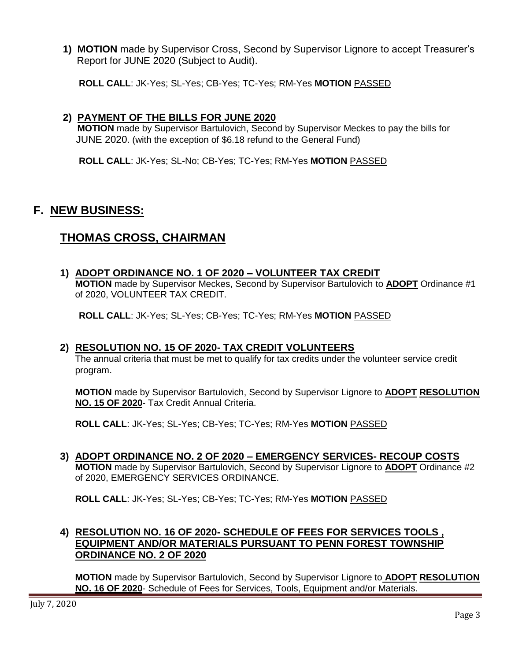**1) MOTION** made by Supervisor Cross, Second by Supervisor Lignore to accept Treasurer's Report for JUNE 2020 (Subject to Audit).

**ROLL CALL**: JK-Yes; SL-Yes; CB-Yes; TC-Yes; RM-Yes **MOTION** PASSED

#### **2) PAYMENT OF THE BILLS FOR JUNE 2020**

 **MOTION** made by Supervisor Bartulovich, Second by Supervisor Meckes to pay the bills for JUNE 2020. (with the exception of \$6.18 refund to the General Fund)

**ROLL CALL**: JK-Yes; SL-No; CB-Yes; TC-Yes; RM-Yes **MOTION** PASSED

## **F. NEW BUSINESS:**

## **THOMAS CROSS, CHAIRMAN**

### **1) ADOPT ORDINANCE NO. 1 OF 2020 – VOLUNTEER TAX CREDIT**

**MOTION** made by Supervisor Meckes, Second by Supervisor Bartulovich to **ADOPT** Ordinance #1 of 2020, VOLUNTEER TAX CREDIT.

**ROLL CALL**: JK-Yes; SL-Yes; CB-Yes; TC-Yes; RM-Yes **MOTION** PASSED

#### **2) RESOLUTION NO. 15 OF 2020- TAX CREDIT VOLUNTEERS**

The annual criteria that must be met to qualify for tax credits under the volunteer service credit program.

**MOTION** made by Supervisor Bartulovich, Second by Supervisor Lignore to **ADOPT RESOLUTION NO. 15 OF 2020**- Tax Credit Annual Criteria.

**ROLL CALL**: JK-Yes; SL-Yes; CB-Yes; TC-Yes; RM-Yes **MOTION** PASSED

**3) ADOPT ORDINANCE NO. 2 OF 2020 – EMERGENCY SERVICES- RECOUP COSTS MOTION** made by Supervisor Bartulovich, Second by Supervisor Lignore to **ADOPT** Ordinance #2 of 2020, EMERGENCY SERVICES ORDINANCE.

**ROLL CALL**: JK-Yes; SL-Yes; CB-Yes; TC-Yes; RM-Yes **MOTION** PASSED

### **4) RESOLUTION NO. 16 OF 2020- SCHEDULE OF FEES FOR SERVICES TOOLS , EQUIPMENT AND/OR MATERIALS PURSUANT TO PENN FOREST TOWNSHIP ORDINANCE NO. 2 OF 2020**

**MOTION** made by Supervisor Bartulovich, Second by Supervisor Lignore to **ADOPT RESOLUTION NO. 16 OF 2020**- Schedule of Fees for Services, Tools, Equipment and/or Materials.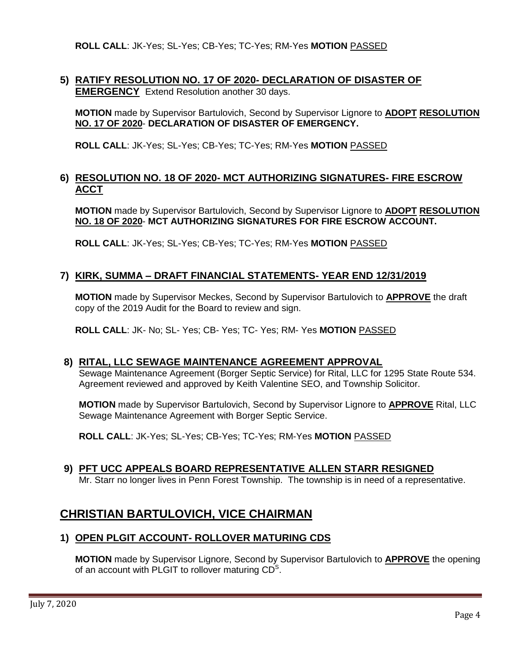**ROLL CALL**: JK-Yes; SL-Yes; CB-Yes; TC-Yes; RM-Yes **MOTION** PASSED

### **5) RATIFY RESOLUTION NO. 17 OF 2020- DECLARATION OF DISASTER OF EMERGENCY** Extend Resolution another 30 days.

**MOTION** made by Supervisor Bartulovich, Second by Supervisor Lignore to **ADOPT RESOLUTION NO. 17 OF 2020**- **DECLARATION OF DISASTER OF EMERGENCY.**

**ROLL CALL**: JK-Yes; SL-Yes; CB-Yes; TC-Yes; RM-Yes **MOTION** PASSED

#### **6) RESOLUTION NO. 18 OF 2020- MCT AUTHORIZING SIGNATURES- FIRE ESCROW ACCT**

**MOTION** made by Supervisor Bartulovich, Second by Supervisor Lignore to **ADOPT RESOLUTION NO. 18 OF 2020**- **MCT AUTHORIZING SIGNATURES FOR FIRE ESCROW ACCOUNT.**

**ROLL CALL**: JK-Yes; SL-Yes; CB-Yes; TC-Yes; RM-Yes **MOTION** PASSED

#### **7) KIRK, SUMMA – DRAFT FINANCIAL STATEMENTS- YEAR END 12/31/2019**

**MOTION** made by Supervisor Meckes, Second by Supervisor Bartulovich to **APPROVE** the draft copy of the 2019 Audit for the Board to review and sign.

**ROLL CALL**: JK- No; SL- Yes; CB- Yes; TC- Yes; RM- Yes **MOTION** PASSED

#### **8) RITAL, LLC SEWAGE MAINTENANCE AGREEMENT APPROVAL**

Sewage Maintenance Agreement (Borger Septic Service) for Rital, LLC for 1295 State Route 534. Agreement reviewed and approved by Keith Valentine SEO, and Township Solicitor.

**MOTION** made by Supervisor Bartulovich, Second by Supervisor Lignore to **APPROVE** Rital, LLC Sewage Maintenance Agreement with Borger Septic Service.

**ROLL CALL**: JK-Yes; SL-Yes; CB-Yes; TC-Yes; RM-Yes **MOTION** PASSED

#### **9) PFT UCC APPEALS BOARD REPRESENTATIVE ALLEN STARR RESIGNED**

Mr. Starr no longer lives in Penn Forest Township. The township is in need of a representative.

## **CHRISTIAN BARTULOVICH, VICE CHAIRMAN**

#### **1) OPEN PLGIT ACCOUNT- ROLLOVER MATURING CDS**

**MOTION** made by Supervisor Lignore, Second by Supervisor Bartulovich to **APPROVE** the opening of an account with PLGIT to rollover maturing  $CD<sup>S</sup>$ .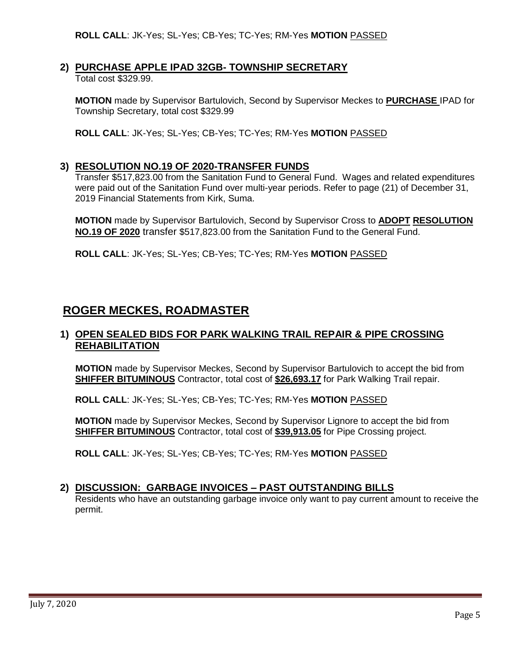#### **2) PURCHASE APPLE IPAD 32GB- TOWNSHIP SECRETARY**

Total cost \$329.99.

**MOTION** made by Supervisor Bartulovich, Second by Supervisor Meckes to **PURCHASE** IPAD for Township Secretary, total cost \$329.99

**ROLL CALL**: JK-Yes; SL-Yes; CB-Yes; TC-Yes; RM-Yes **MOTION** PASSED

#### **3) RESOLUTION NO.19 OF 2020-TRANSFER FUNDS**

Transfer \$517,823.00 from the Sanitation Fund to General Fund. Wages and related expenditures were paid out of the Sanitation Fund over multi-year periods. Refer to page (21) of December 31, 2019 Financial Statements from Kirk, Suma.

**MOTION** made by Supervisor Bartulovich, Second by Supervisor Cross to **ADOPT RESOLUTION NO.19 OF 2020** transfer \$517,823.00 from the Sanitation Fund to the General Fund.

**ROLL CALL**: JK-Yes; SL-Yes; CB-Yes; TC-Yes; RM-Yes **MOTION** PASSED

## **ROGER MECKES, ROADMASTER**

#### **1) OPEN SEALED BIDS FOR PARK WALKING TRAIL REPAIR & PIPE CROSSING REHABILITATION**

 **MOTION** made by Supervisor Meckes, Second by Supervisor Bartulovich to accept the bid from **SHIFFER BITUMINOUS** Contractor, total cost of **\$26,693.17** for Park Walking Trail repair.

**ROLL CALL**: JK-Yes; SL-Yes; CB-Yes; TC-Yes; RM-Yes **MOTION** PASSED

**MOTION** made by Supervisor Meckes, Second by Supervisor Lignore to accept the bid from **SHIFFER BITUMINOUS** Contractor, total cost of **\$39,913.05** for Pipe Crossing project.

**ROLL CALL**: JK-Yes; SL-Yes; CB-Yes; TC-Yes; RM-Yes **MOTION** PASSED

#### **2) DISCUSSION: GARBAGE INVOICES – PAST OUTSTANDING BILLS**

Residents who have an outstanding garbage invoice only want to pay current amount to receive the permit.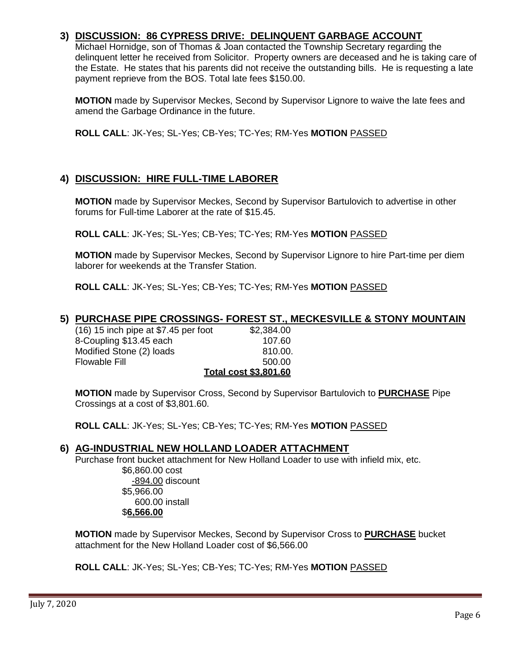### **3) DISCUSSION: 86 CYPRESS DRIVE: DELINQUENT GARBAGE ACCOUNT**

Michael Hornidge, son of Thomas & Joan contacted the Township Secretary regarding the delinquent letter he received from Solicitor. Property owners are deceased and he is taking care of the Estate. He states that his parents did not receive the outstanding bills. He is requesting a late payment reprieve from the BOS. Total late fees \$150.00.

**MOTION** made by Supervisor Meckes, Second by Supervisor Lignore to waive the late fees and amend the Garbage Ordinance in the future.

**ROLL CALL**: JK-Yes; SL-Yes; CB-Yes; TC-Yes; RM-Yes **MOTION** PASSED

### **4) DISCUSSION: HIRE FULL-TIME LABORER**

**MOTION** made by Supervisor Meckes, Second by Supervisor Bartulovich to advertise in other forums for Full-time Laborer at the rate of \$15.45.

**ROLL CALL**: JK-Yes; SL-Yes; CB-Yes; TC-Yes; RM-Yes **MOTION** PASSED

**MOTION** made by Supervisor Meckes, Second by Supervisor Lignore to hire Part-time per diem laborer for weekends at the Transfer Station.

**ROLL CALL**: JK-Yes; SL-Yes; CB-Yes; TC-Yes; RM-Yes **MOTION** PASSED

#### **5) PURCHASE PIPE CROSSINGS- FOREST ST., MECKESVILLE & STONY MOUNTAIN**

(16) 15 inch pipe at \$7.45 per foot \$2,384.00 8-Coupling \$13.45 each 107.60 Modified Stone (2) loads 810.00. Flowable Fill 500.00 **Total cost \$3,801.60**

**MOTION** made by Supervisor Cross, Second by Supervisor Bartulovich to **PURCHASE** Pipe Crossings at a cost of \$3,801.60.

**ROLL CALL**: JK-Yes; SL-Yes; CB-Yes; TC-Yes; RM-Yes **MOTION** PASSED

#### **6) AG-INDUSTRIAL NEW HOLLAND LOADER ATTACHMENT**

Purchase front bucket attachment for New Holland Loader to use with infield mix, etc.

\$6,860.00 cost -894.00 discount \$5,966.00 600.00 install \$**6,566.00**

**MOTION** made by Supervisor Meckes, Second by Supervisor Cross to **PURCHASE** bucket attachment for the New Holland Loader cost of \$6,566.00

**ROLL CALL**: JK-Yes; SL-Yes; CB-Yes; TC-Yes; RM-Yes **MOTION** PASSED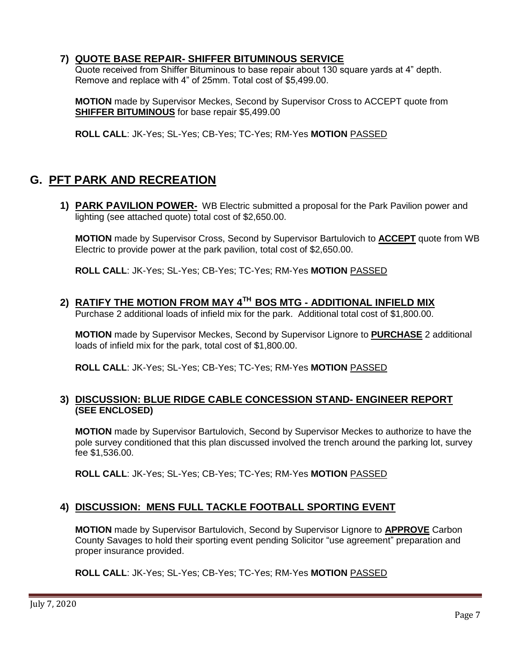### **7) QUOTE BASE REPAIR- SHIFFER BITUMINOUS SERVICE**

Quote received from Shiffer Bituminous to base repair about 130 square yards at 4" depth. Remove and replace with 4" of 25mm. Total cost of \$5,499.00.

**MOTION** made by Supervisor Meckes, Second by Supervisor Cross to ACCEPT quote from **SHIFFER BITUMINOUS** for base repair \$5,499.00

**ROLL CALL**: JK-Yes; SL-Yes; CB-Yes; TC-Yes; RM-Yes **MOTION** PASSED

# **G. PFT PARK AND RECREATION**

**1) PARK PAVILION POWER-** WB Electric submitted a proposal for the Park Pavilion power and lighting (see attached quote) total cost of \$2,650.00.

**MOTION** made by Supervisor Cross, Second by Supervisor Bartulovich to **ACCEPT** quote from WB Electric to provide power at the park pavilion, total cost of \$2,650.00.

**ROLL CALL**: JK-Yes; SL-Yes; CB-Yes; TC-Yes; RM-Yes **MOTION** PASSED

# **2) RATIFY THE MOTION FROM MAY 4TH BOS MTG - ADDITIONAL INFIELD MIX**

Purchase 2 additional loads of infield mix for the park. Additional total cost of \$1,800.00.

**MOTION** made by Supervisor Meckes, Second by Supervisor Lignore to **PURCHASE** 2 additional loads of infield mix for the park, total cost of \$1,800.00.

**ROLL CALL**: JK-Yes; SL-Yes; CB-Yes; TC-Yes; RM-Yes **MOTION** PASSED

#### **3) DISCUSSION: BLUE RIDGE CABLE CONCESSION STAND- ENGINEER REPORT (SEE ENCLOSED)**

**MOTION** made by Supervisor Bartulovich, Second by Supervisor Meckes to authorize to have the pole survey conditioned that this plan discussed involved the trench around the parking lot, survey fee \$1,536.00.

**ROLL CALL**: JK-Yes; SL-Yes; CB-Yes; TC-Yes; RM-Yes **MOTION** PASSED

## **4) DISCUSSION: MENS FULL TACKLE FOOTBALL SPORTING EVENT**

**MOTION** made by Supervisor Bartulovich, Second by Supervisor Lignore to **APPROVE** Carbon County Savages to hold their sporting event pending Solicitor "use agreement" preparation and proper insurance provided.

#### **ROLL CALL**: JK-Yes; SL-Yes; CB-Yes; TC-Yes; RM-Yes **MOTION** PASSED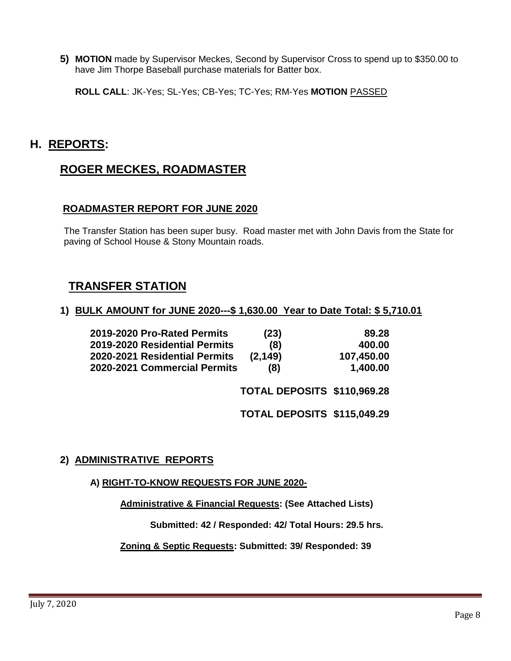**5) MOTION** made by Supervisor Meckes, Second by Supervisor Cross to spend up to \$350.00 to have Jim Thorpe Baseball purchase materials for Batter box.

**ROLL CALL**: JK-Yes; SL-Yes; CB-Yes; TC-Yes; RM-Yes **MOTION** PASSED

# **H. REPORTS:**

# **ROGER MECKES, ROADMASTER**

## **ROADMASTER REPORT FOR JUNE 2020**

The Transfer Station has been super busy. Road master met with John Davis from the State for paving of School House & Stony Mountain roads.

## **TRANSFER STATION**

#### **1) BULK AMOUNT for JUNE 2020---\$ 1,630.00 Year to Date Total: \$ 5,710.01**

| 2019-2020 Pro-Rated Permits   | (23)     | 89.28      |
|-------------------------------|----------|------------|
| 2019-2020 Residential Permits | (8)      | 400.00     |
| 2020-2021 Residential Permits | (2, 149) | 107,450.00 |
| 2020-2021 Commercial Permits  | (8)      | 1,400.00   |

**TOTAL DEPOSITS \$110,969.28** 

**TOTAL DEPOSITS \$115,049.29**

## **2) ADMINISTRATIVE REPORTS**

#### **A) RIGHT-TO-KNOW REQUESTS FOR JUNE 2020-**

**Administrative & Financial Requests: (See Attached Lists)**

 **Submitted: 42 / Responded: 42/ Total Hours: 29.5 hrs.**

 **Zoning & Septic Requests: Submitted: 39/ Responded: 39**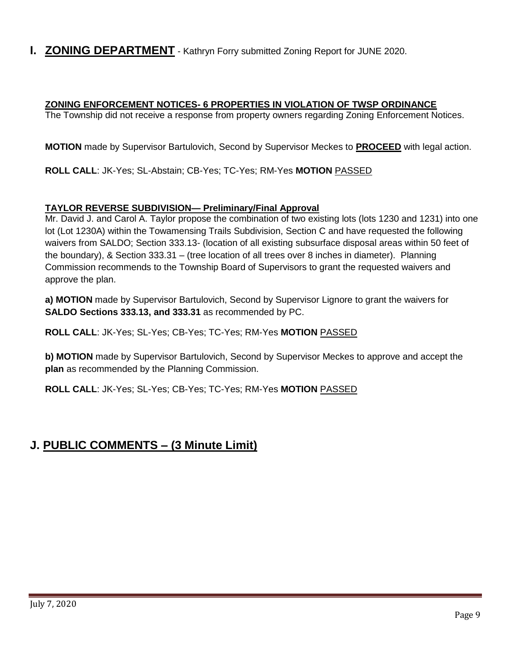**I. ZONING DEPARTMENT** - Kathryn Forry submitted Zoning Report for JUNE 2020.

#### **ZONING ENFORCEMENT NOTICES- 6 PROPERTIES IN VIOLATION OF TWSP ORDINANCE**

The Township did not receive a response from property owners regarding Zoning Enforcement Notices.

**MOTION** made by Supervisor Bartulovich, Second by Supervisor Meckes to **PROCEED** with legal action.

**ROLL CALL**: JK-Yes; SL-Abstain; CB-Yes; TC-Yes; RM-Yes **MOTION** PASSED

#### **TAYLOR REVERSE SUBDIVISION— Preliminary/Final Approval**

Mr. David J. and Carol A. Taylor propose the combination of two existing lots (lots 1230 and 1231) into one lot (Lot 1230A) within the Towamensing Trails Subdivision, Section C and have requested the following waivers from SALDO; Section 333.13- (location of all existing subsurface disposal areas within 50 feet of the boundary), & Section 333.31 – (tree location of all trees over 8 inches in diameter). Planning Commission recommends to the Township Board of Supervisors to grant the requested waivers and approve the plan.

**a) MOTION** made by Supervisor Bartulovich, Second by Supervisor Lignore to grant the waivers for **SALDO Sections 333.13, and 333.31** as recommended by PC.

**ROLL CALL**: JK-Yes; SL-Yes; CB-Yes; TC-Yes; RM-Yes **MOTION** PASSED

**b) MOTION** made by Supervisor Bartulovich, Second by Supervisor Meckes to approve and accept the **plan** as recommended by the Planning Commission.

**ROLL CALL**: JK-Yes; SL-Yes; CB-Yes; TC-Yes; RM-Yes **MOTION** PASSED

# **J. PUBLIC COMMENTS – (3 Minute Limit)**